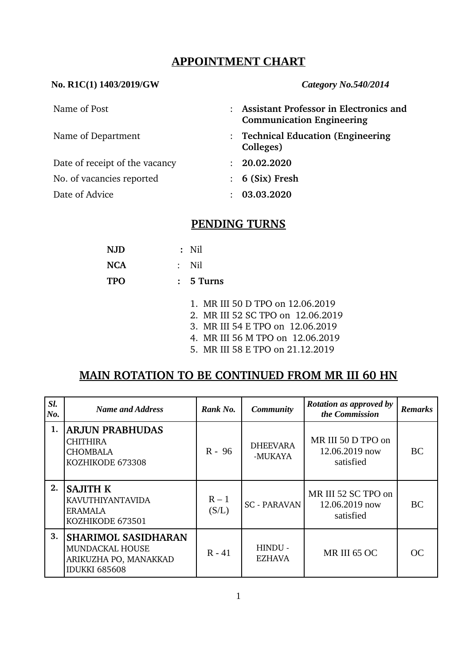## **APPOINTMENT CHART**

#### **No. R1C(1) 1403/2019/GW** *Category No.540/2014*

| Name of Post                   |                      | : Assistant Professor in Electronics and<br><b>Communication Engineering</b> |
|--------------------------------|----------------------|------------------------------------------------------------------------------|
| Name of Department             | Colleges)            | : Technical Education (Engineering                                           |
| Date of receipt of the vacancy | $\ddot{\phantom{a}}$ | 20.02.2020                                                                   |
| No. of vacancies reported      |                      | $: 6$ (Six) Fresh                                                            |
| Date of Advice                 | ٠                    | 03.03.2020                                                                   |

# **PENDING TURNS**

| <b>NJD</b> | $:$ Nil     |
|------------|-------------|
| <b>NCA</b> | : Nil       |
| <b>TPO</b> | $: 5$ Turns |

- 1. MR III 50 D TPO on 12.06.2019
- 2. MR III 52 SC TPO on 12.06.2019
- 3. MR III 54 E TPO on 12.06.2019
- 4. MR III 56 M TPO on 12.06.2019
- 5. MR III 58 E TPO on 21.12.2019

## **MAIN ROTATION TO BE CONTINUED FROM MR III 60 HN**

| SI.<br>No. | <b>Name and Address</b>                                                                        | Rank No.         | <b>Community</b>           | <b>Rotation as approved by</b><br>the Commission   | <b>Remarks</b> |
|------------|------------------------------------------------------------------------------------------------|------------------|----------------------------|----------------------------------------------------|----------------|
| 1.         | <b>ARJUN PRABHUDAS</b><br><b>CHITHIRA</b><br><b>CHOMBALA</b><br>KOZHIKODE 673308               | R - 96           | <b>DHEEVARA</b><br>-MUKAYA | MR III 50 D TPO on<br>12.06.2019 now<br>satisfied  | <b>BC</b>      |
| 2.         | <b>SAJITH K</b><br><b>KAVUTHIYANTAVIDA</b><br><b>ERAMALA</b><br>KOZHIKODE 673501               | $R - 1$<br>(S/L) | <b>SC - PARAVAN</b>        | MR III 52 SC TPO on<br>12.06.2019 now<br>satisfied | BC.            |
| 3.         | <b>SHARIMOL SASIDHARAN</b><br>MUNDACKAL HOUSE<br>ARIKUZHA PO, MANAKKAD<br><b>IDUKKI 685608</b> | $R - 41$         | HINDU -<br>EZHAVA          | MR III 65 OC                                       | OC.            |